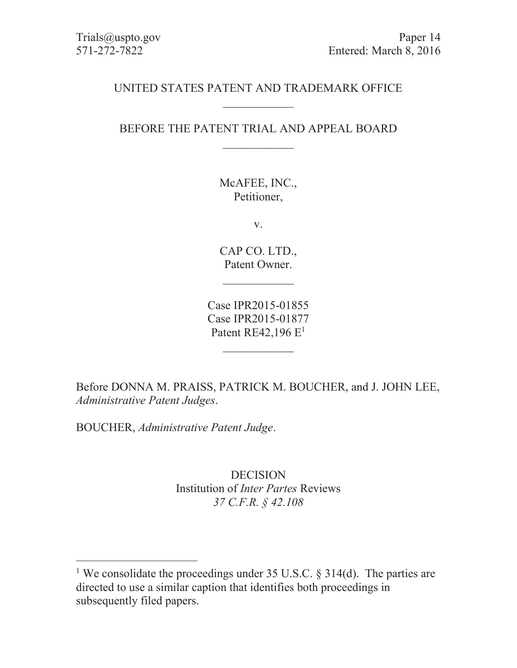# UNITED STATES PATENT AND TRADEMARK OFFICE  $\overline{\phantom{a}}$

# BEFORE THE PATENT TRIAL AND APPEAL BOARD  $\overline{\phantom{a}}$  . The set of the set of the set of the set of the set of the set of the set of the set of the set of the set of the set of the set of the set of the set of the set of the set of the set of the set of the set o

McAFEE, INC., Petitioner,

v.

CAP CO. LTD., Patent Owner.

 $\overline{\phantom{a}}$ 

Case IPR2015-01855 Case IPR2015-01877 Patent RE42,196  $E<sup>1</sup>$ 

 $\overline{\phantom{a}}$  . The set of the set of the set of the set of the set of the set of the set of the set of the set of the set of the set of the set of the set of the set of the set of the set of the set of the set of the set o

Before DONNA M. PRAISS, PATRICK M. BOUCHER, and J. JOHN LEE, *Administrative Patent Judges*.

BOUCHER, *Administrative Patent Judge*.

 $\overline{a}$ 

DECISION Institution of *Inter Partes* Reviews *37 C.F.R. § 42.108* 

<sup>&</sup>lt;sup>1</sup> We consolidate the proceedings under 35 U.S.C. § 314(d). The parties are directed to use a similar caption that identifies both proceedings in subsequently filed papers.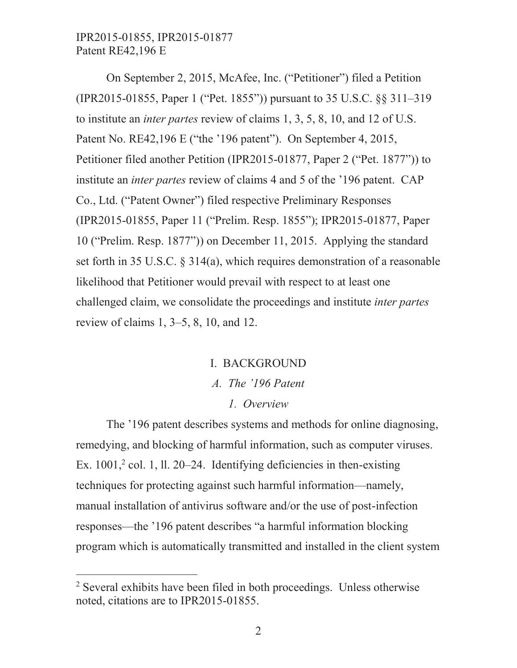On September 2, 2015, McAfee, Inc. ("Petitioner") filed a Petition (IPR2015-01855, Paper 1 ("Pet. 1855")) pursuant to 35 U.S.C. §§ 311–319 to institute an *inter partes* review of claims 1, 3, 5, 8, 10, and 12 of U.S. Patent No. RE42,196 E ("the '196 patent"). On September 4, 2015, Petitioner filed another Petition (IPR2015-01877, Paper 2 ("Pet. 1877")) to institute an *inter partes* review of claims 4 and 5 of the '196 patent. CAP Co., Ltd. ("Patent Owner") filed respective Preliminary Responses (IPR2015-01855, Paper 11 ("Prelim. Resp. 1855"); IPR2015-01877, Paper 10 ("Prelim. Resp. 1877")) on December 11, 2015. Applying the standard set forth in 35 U.S.C. § 314(a), which requires demonstration of a reasonable likelihood that Petitioner would prevail with respect to at least one challenged claim, we consolidate the proceedings and institute *inter partes* review of claims 1, 3–5, 8, 10, and 12.

# I. BACKGROUND *A. The '196 Patent 1. Overview*

The '196 patent describes systems and methods for online diagnosing, remedying, and blocking of harmful information, such as computer viruses. Ex.  $1001$ ,<sup>2</sup> col. 1, ll. 20–24. Identifying deficiencies in then-existing techniques for protecting against such harmful information—namely, manual installation of antivirus software and/or the use of post-infection responses—the '196 patent describes "a harmful information blocking program which is automatically transmitted and installed in the client system

 $\overline{a}$ 

<sup>&</sup>lt;sup>2</sup> Several exhibits have been filed in both proceedings. Unless otherwise noted, citations are to IPR2015-01855.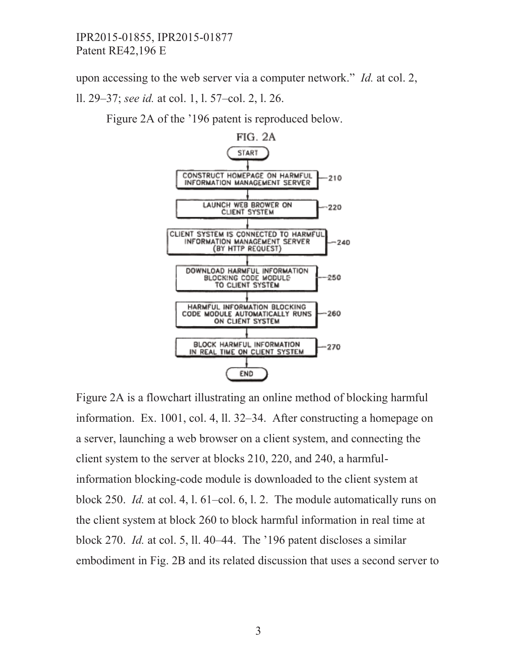upon accessing to the web server via a computer network." *Id.* at col. 2,

ll. 29–37; *see id.* at col. 1, l. 57–col. 2, l. 26.

Figure 2A of the '196 patent is reproduced below.



Figure 2A is a flowchart illustrating an online method of blocking harmful information. Ex. 1001, col. 4, ll. 32–34. After constructing a homepage on a server, launching a web browser on a client system, and connecting the client system to the server at blocks 210, 220, and 240, a harmfulinformation blocking-code module is downloaded to the client system at block 250. *Id.* at col. 4, l. 61–col. 6, l. 2. The module automatically runs on the client system at block 260 to block harmful information in real time at block 270. *Id.* at col. 5, ll. 40–44. The '196 patent discloses a similar embodiment in Fig. 2B and its related discussion that uses a second server to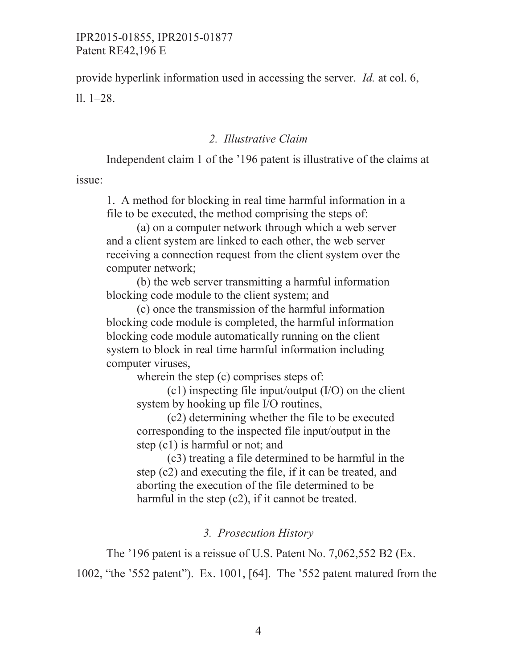provide hyperlink information used in accessing the server. *Id.* at col. 6, ll. 1–28.

#### *2. Illustrative Claim*

Independent claim 1 of the '196 patent is illustrative of the claims at issue:

1. A method for blocking in real time harmful information in a file to be executed, the method comprising the steps of:

(a) on a computer network through which a web server and a client system are linked to each other, the web server receiving a connection request from the client system over the computer network;

(b) the web server transmitting a harmful information blocking code module to the client system; and

(c) once the transmission of the harmful information blocking code module is completed, the harmful information blocking code module automatically running on the client system to block in real time harmful information including computer viruses,

wherein the step (c) comprises steps of:

 $(c1)$  inspecting file input/output  $(I/O)$  on the client system by hooking up file I/O routines,

(c2) determining whether the file to be executed corresponding to the inspected file input/output in the step (c1) is harmful or not; and

(c3) treating a file determined to be harmful in the step (c2) and executing the file, if it can be treated, and aborting the execution of the file determined to be harmful in the step (c2), if it cannot be treated.

#### *3. Prosecution History*

The '196 patent is a reissue of U.S. Patent No. 7,062,552 B2 (Ex. 1002, "the '552 patent"). Ex. 1001, [64]. The '552 patent matured from the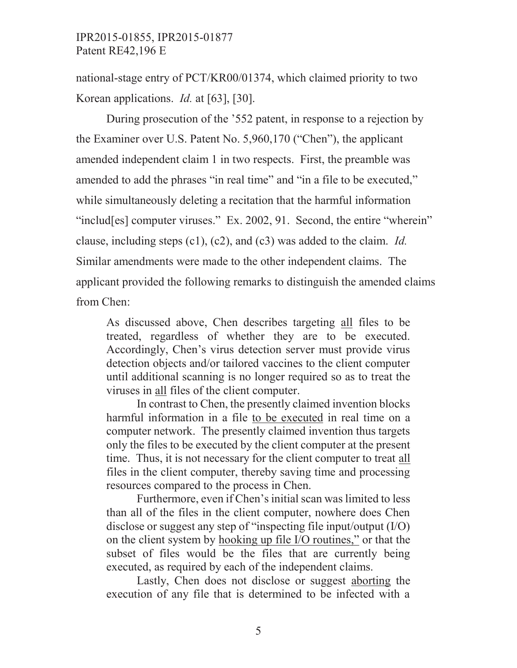national-stage entry of PCT/KR00/01374, which claimed priority to two Korean applications. *Id.* at [63], [30].

During prosecution of the '552 patent, in response to a rejection by the Examiner over U.S. Patent No. 5,960,170 ("Chen"), the applicant amended independent claim 1 in two respects. First, the preamble was amended to add the phrases "in real time" and "in a file to be executed," while simultaneously deleting a recitation that the harmful information "includ[es] computer viruses." Ex. 2002, 91. Second, the entire "wherein" clause, including steps (c1), (c2), and (c3) was added to the claim. *Id.* Similar amendments were made to the other independent claims. The applicant provided the following remarks to distinguish the amended claims from Chen:

As discussed above, Chen describes targeting all files to be treated, regardless of whether they are to be executed. Accordingly, Chen's virus detection server must provide virus detection objects and/or tailored vaccines to the client computer until additional scanning is no longer required so as to treat the viruses in all files of the client computer.

In contrast to Chen, the presently claimed invention blocks harmful information in a file to be executed in real time on a computer network. The presently claimed invention thus targets only the files to be executed by the client computer at the present time. Thus, it is not necessary for the client computer to treat all files in the client computer, thereby saving time and processing resources compared to the process in Chen.

 Furthermore, even if Chen's initial scan was limited to less than all of the files in the client computer, nowhere does Chen disclose or suggest any step of "inspecting file input/output (I/O) on the client system by hooking up file I/O routines," or that the subset of files would be the files that are currently being executed, as required by each of the independent claims.

 Lastly, Chen does not disclose or suggest aborting the execution of any file that is determined to be infected with a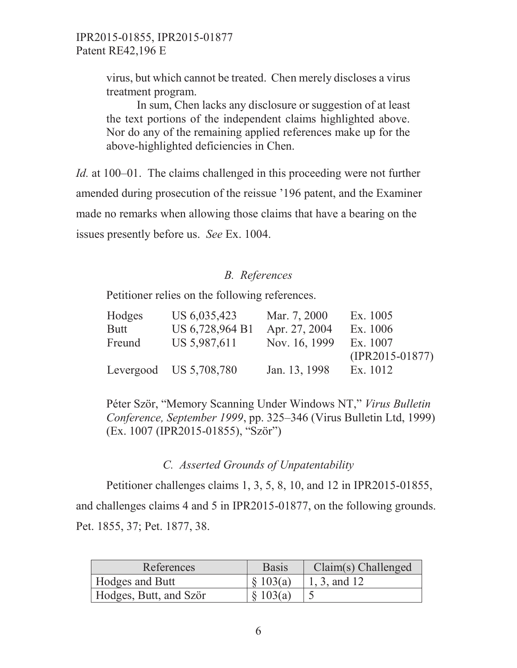virus, but which cannot be treated. Chen merely discloses a virus treatment program.

 In sum, Chen lacks any disclosure or suggestion of at least the text portions of the independent claims highlighted above. Nor do any of the remaining applied references make up for the above-highlighted deficiencies in Chen.

*Id.* at 100–01. The claims challenged in this proceeding were not further amended during prosecution of the reissue '196 patent, and the Examiner made no remarks when allowing those claims that have a bearing on the issues presently before us. *See* Ex. 1004.

# *B. References*

Petitioner relies on the following references.

| Hodges      | US 6,035,423             | Mar. 7, 2000  | Ex. 1005          |
|-------------|--------------------------|---------------|-------------------|
| <b>Butt</b> | US 6,728,964 B1          | Apr. 27, 2004 | Ex. 1006          |
| Freund      | US 5,987,611             | Nov. 16, 1999 | Ex. 1007          |
|             |                          |               | $(IPR2015-01877)$ |
|             | Levergood US $5,708,780$ | Jan. 13, 1998 | Ex. 1012          |

Péter Ször, "Memory Scanning Under Windows NT," *Virus Bulletin Conference, September 1999*, pp. 325–346 (Virus Bulletin Ltd, 1999) (Ex. 1007 (IPR2015-01855), "Ször")

# *C. Asserted Grounds of Unpatentability*

Petitioner challenges claims 1, 3, 5, 8, 10, and 12 in IPR2015-01855, and challenges claims 4 and 5 in IPR2015-01877, on the following grounds. Pet. 1855, 37; Pet. 1877, 38.

| References             | <b>Basis</b> | $Claim(s)$ Challenged |
|------------------------|--------------|-----------------------|
| <b>Hodges and Butt</b> | $\S$ 103(a)  | 1, 3, and 12          |
| Hodges, Butt, and Ször | \$103(a)     |                       |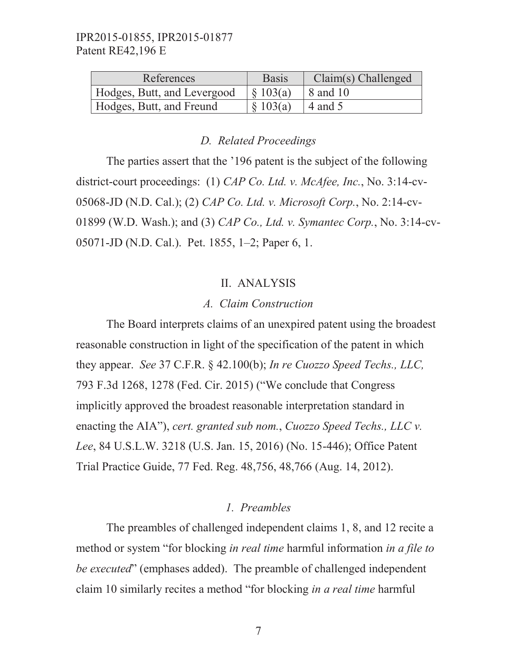| References                  | <b>Basis</b>             | $Claim(s)$ Challenged |
|-----------------------------|--------------------------|-----------------------|
| Hodges, Butt, and Levergood | $\frac{1}{2}$ (8) 103(a) | 8 and 10              |
| Hodges, Butt, and Freund    | 8103(a)                  | $\sqrt{4}$ and 5      |

#### *D. Related Proceedings*

The parties assert that the '196 patent is the subject of the following district-court proceedings: (1) *CAP Co. Ltd. v. McAfee, Inc.*, No. 3:14-cv-05068-JD (N.D. Cal.); (2) *CAP Co. Ltd. v. Microsoft Corp.*, No. 2:14-cv-01899 (W.D. Wash.); and (3) *CAP Co., Ltd. v. Symantec Corp.*, No. 3:14-cv-05071-JD (N.D. Cal.). Pet. 1855, 1–2; Paper 6, 1.

#### II. ANALYSIS

#### *A. Claim Construction*

The Board interprets claims of an unexpired patent using the broadest reasonable construction in light of the specification of the patent in which they appear. *See* 37 C.F.R. § 42.100(b); *In re Cuozzo Speed Techs., LLC,*  793 F.3d 1268, 1278 (Fed. Cir. 2015) ("We conclude that Congress implicitly approved the broadest reasonable interpretation standard in enacting the AIA"), *cert. granted sub nom.*, *Cuozzo Speed Techs., LLC v. Lee*, 84 U.S.L.W. 3218 (U.S. Jan. 15, 2016) (No. 15-446); Office Patent Trial Practice Guide, 77 Fed. Reg. 48,756, 48,766 (Aug. 14, 2012).

#### *1. Preambles*

The preambles of challenged independent claims 1, 8, and 12 recite a method or system "for blocking *in real time* harmful information *in a file to be executed*" (emphases added). The preamble of challenged independent claim 10 similarly recites a method "for blocking *in a real time* harmful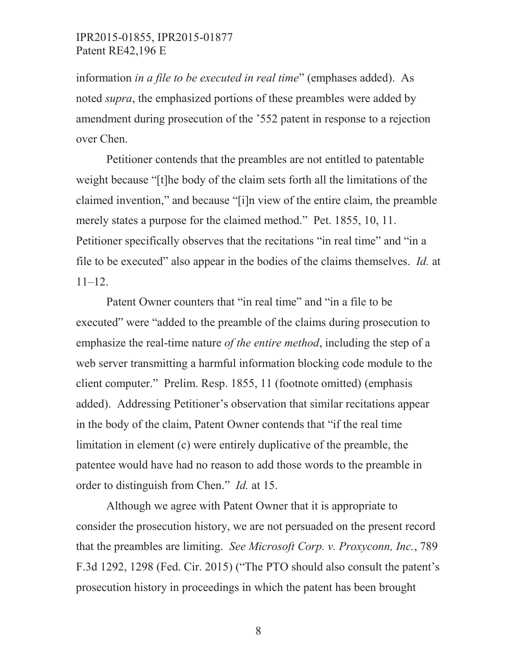information *in a file to be executed in real time*" (emphases added). As noted *supra*, the emphasized portions of these preambles were added by amendment during prosecution of the '552 patent in response to a rejection over Chen.

Petitioner contends that the preambles are not entitled to patentable weight because "[t]he body of the claim sets forth all the limitations of the claimed invention," and because "[i]n view of the entire claim, the preamble merely states a purpose for the claimed method." Pet. 1855, 10, 11. Petitioner specifically observes that the recitations "in real time" and "in a file to be executed" also appear in the bodies of the claims themselves. *Id.* at 11–12.

Patent Owner counters that "in real time" and "in a file to be executed" were "added to the preamble of the claims during prosecution to emphasize the real-time nature *of the entire method*, including the step of a web server transmitting a harmful information blocking code module to the client computer." Prelim. Resp. 1855, 11 (footnote omitted) (emphasis added). Addressing Petitioner's observation that similar recitations appear in the body of the claim, Patent Owner contends that "if the real time limitation in element (c) were entirely duplicative of the preamble, the patentee would have had no reason to add those words to the preamble in order to distinguish from Chen." *Id.* at 15.

Although we agree with Patent Owner that it is appropriate to consider the prosecution history, we are not persuaded on the present record that the preambles are limiting. *See Microsoft Corp. v. Proxyconn, Inc.*, 789 F.3d 1292, 1298 (Fed. Cir. 2015) ("The PTO should also consult the patent's prosecution history in proceedings in which the patent has been brought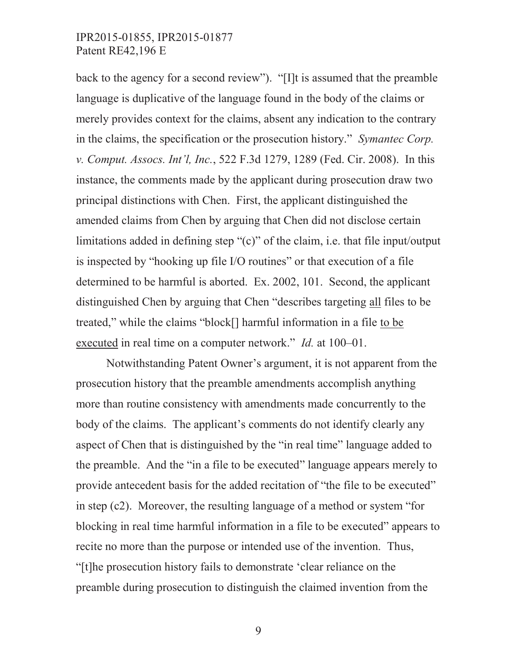back to the agency for a second review"). "[I]t is assumed that the preamble language is duplicative of the language found in the body of the claims or merely provides context for the claims, absent any indication to the contrary in the claims, the specification or the prosecution history." *Symantec Corp. v. Comput. Assocs. Int'l, Inc.*, 522 F.3d 1279, 1289 (Fed. Cir. 2008). In this instance, the comments made by the applicant during prosecution draw two principal distinctions with Chen. First, the applicant distinguished the amended claims from Chen by arguing that Chen did not disclose certain limitations added in defining step "(c)" of the claim, i.e. that file input/output is inspected by "hooking up file I/O routines" or that execution of a file determined to be harmful is aborted. Ex. 2002, 101. Second, the applicant distinguished Chen by arguing that Chen "describes targeting all files to be treated," while the claims "block[] harmful information in a file to be executed in real time on a computer network." *Id.* at 100–01.

Notwithstanding Patent Owner's argument, it is not apparent from the prosecution history that the preamble amendments accomplish anything more than routine consistency with amendments made concurrently to the body of the claims. The applicant's comments do not identify clearly any aspect of Chen that is distinguished by the "in real time" language added to the preamble. And the "in a file to be executed" language appears merely to provide antecedent basis for the added recitation of "the file to be executed" in step (c2). Moreover, the resulting language of a method or system "for blocking in real time harmful information in a file to be executed" appears to recite no more than the purpose or intended use of the invention. Thus, "[t]he prosecution history fails to demonstrate 'clear reliance on the preamble during prosecution to distinguish the claimed invention from the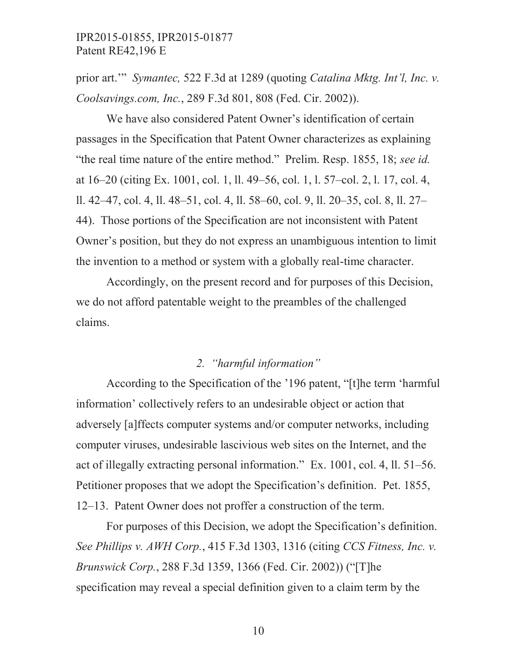prior art.'" *Symantec,* 522 F.3d at 1289 (quoting *Catalina Mktg. Int'l, Inc. v. Coolsavings.com, Inc.*, 289 F.3d 801, 808 (Fed. Cir. 2002)).

We have also considered Patent Owner's identification of certain passages in the Specification that Patent Owner characterizes as explaining "the real time nature of the entire method." Prelim. Resp. 1855, 18; *see id.* at 16–20 (citing Ex. 1001, col. 1, ll. 49–56, col. 1, l. 57–col. 2, l. 17, col. 4, ll. 42–47, col. 4, ll. 48–51, col. 4, ll. 58–60, col. 9, ll. 20–35, col. 8, ll. 27– 44). Those portions of the Specification are not inconsistent with Patent Owner's position, but they do not express an unambiguous intention to limit the invention to a method or system with a globally real-time character.

Accordingly, on the present record and for purposes of this Decision, we do not afford patentable weight to the preambles of the challenged claims.

### *2. "harmful information"*

According to the Specification of the '196 patent, "[t]he term 'harmful information' collectively refers to an undesirable object or action that adversely [a]ffects computer systems and/or computer networks, including computer viruses, undesirable lascivious web sites on the Internet, and the act of illegally extracting personal information." Ex. 1001, col. 4, ll. 51–56. Petitioner proposes that we adopt the Specification's definition. Pet. 1855, 12–13. Patent Owner does not proffer a construction of the term.

For purposes of this Decision, we adopt the Specification's definition. *See Phillips v. AWH Corp.*, 415 F.3d 1303, 1316 (citing *CCS Fitness, Inc. v. Brunswick Corp.*, 288 F.3d 1359, 1366 (Fed. Cir. 2002)) ("[T]he specification may reveal a special definition given to a claim term by the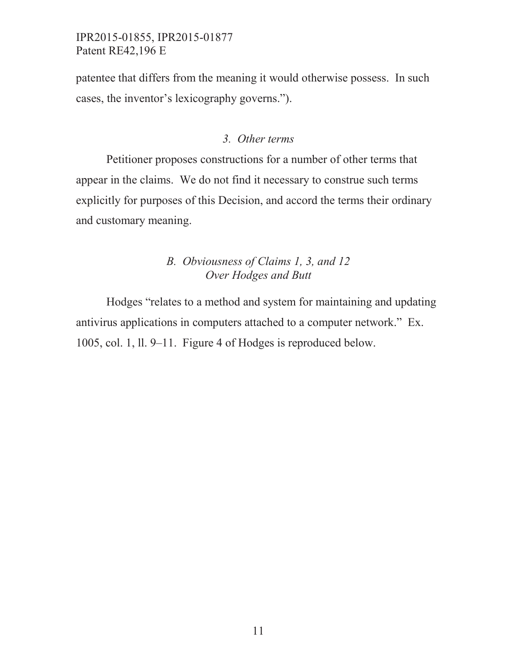patentee that differs from the meaning it would otherwise possess. In such cases, the inventor's lexicography governs.").

#### *3. Other terms*

Petitioner proposes constructions for a number of other terms that appear in the claims. We do not find it necessary to construe such terms explicitly for purposes of this Decision, and accord the terms their ordinary and customary meaning.

# *B. Obviousness of Claims 1, 3, and 12 Over Hodges and Butt*

Hodges "relates to a method and system for maintaining and updating antivirus applications in computers attached to a computer network." Ex. 1005, col. 1, ll. 9–11. Figure 4 of Hodges is reproduced below.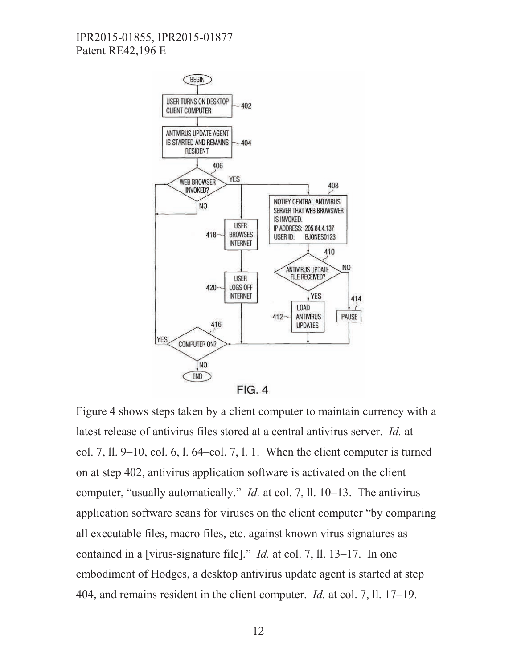

Figure 4 shows steps taken by a client computer to maintain currency with a latest release of antivirus files stored at a central antivirus server. *Id.* at col. 7, 11,  $9-10$ , col. 6, 1, 64–col. 7, 1, 1. When the client computer is turned on at step 402, antivirus application software is activated on the client computer, "usually automatically." *Id.* at col. 7, ll. 10–13. The antivirus application software scans for viruses on the client computer "by comparing all executable files, macro files, etc. against known virus signatures as contained in a [virus-signature file]." *Id.* at col. 7, ll. 13–17. In one embodiment of Hodges, a desktop antivirus update agent is started at step 404, and remains resident in the client computer. *Id.* at col. 7, ll. 17–19.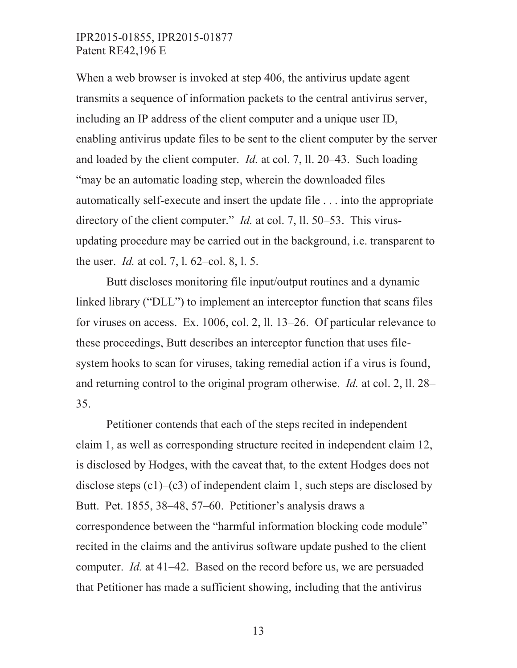When a web browser is invoked at step 406, the antivirus update agent transmits a sequence of information packets to the central antivirus server, including an IP address of the client computer and a unique user ID, enabling antivirus update files to be sent to the client computer by the server and loaded by the client computer. *Id.* at col. 7, ll. 20–43. Such loading "may be an automatic loading step, wherein the downloaded files automatically self-execute and insert the update file . . . into the appropriate directory of the client computer." *Id.* at col. 7, ll. 50–53. This virusupdating procedure may be carried out in the background, i.e. transparent to the user. *Id.* at col. 7, l. 62–col. 8, l. 5.

Butt discloses monitoring file input/output routines and a dynamic linked library ("DLL") to implement an interceptor function that scans files for viruses on access. Ex. 1006, col. 2, ll. 13–26. Of particular relevance to these proceedings, Butt describes an interceptor function that uses filesystem hooks to scan for viruses, taking remedial action if a virus is found, and returning control to the original program otherwise. *Id.* at col. 2, ll. 28– 35.

Petitioner contends that each of the steps recited in independent claim 1, as well as corresponding structure recited in independent claim 12, is disclosed by Hodges, with the caveat that, to the extent Hodges does not disclose steps  $(c1)$ – $(c3)$  of independent claim 1, such steps are disclosed by Butt. Pet. 1855, 38–48, 57–60. Petitioner's analysis draws a correspondence between the "harmful information blocking code module" recited in the claims and the antivirus software update pushed to the client computer. *Id.* at 41–42. Based on the record before us, we are persuaded that Petitioner has made a sufficient showing, including that the antivirus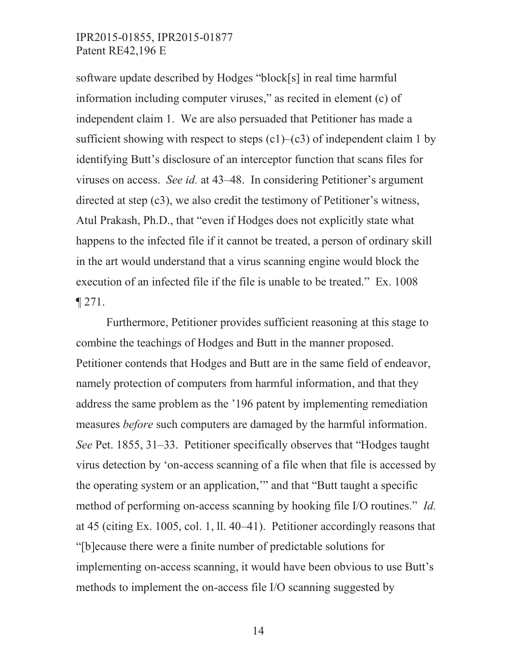software update described by Hodges "block[s] in real time harmful information including computer viruses," as recited in element (c) of independent claim 1. We are also persuaded that Petitioner has made a sufficient showing with respect to steps  $(c1)$ – $(c3)$  of independent claim 1 by identifying Butt's disclosure of an interceptor function that scans files for viruses on access. *See id.* at 43–48. In considering Petitioner's argument directed at step (c3), we also credit the testimony of Petitioner's witness, Atul Prakash, Ph.D., that "even if Hodges does not explicitly state what happens to the infected file if it cannot be treated, a person of ordinary skill in the art would understand that a virus scanning engine would block the execution of an infected file if the file is unable to be treated." Ex. 1008  $\P$  271.

Furthermore, Petitioner provides sufficient reasoning at this stage to combine the teachings of Hodges and Butt in the manner proposed. Petitioner contends that Hodges and Butt are in the same field of endeavor, namely protection of computers from harmful information, and that they address the same problem as the '196 patent by implementing remediation measures *before* such computers are damaged by the harmful information. *See* Pet. 1855, 31–33. Petitioner specifically observes that "Hodges taught virus detection by 'on-access scanning of a file when that file is accessed by the operating system or an application,'" and that "Butt taught a specific method of performing on-access scanning by hooking file I/O routines." *Id.* at 45 (citing Ex. 1005, col. 1, ll. 40–41). Petitioner accordingly reasons that "[b]ecause there were a finite number of predictable solutions for implementing on-access scanning, it would have been obvious to use Butt's methods to implement the on-access file I/O scanning suggested by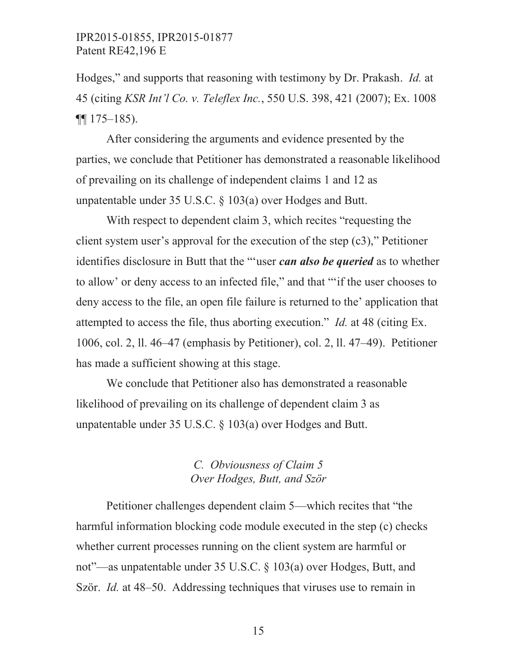Hodges," and supports that reasoning with testimony by Dr. Prakash. *Id.* at 45 (citing *KSR Int'l Co. v. Teleflex Inc.*, 550 U.S. 398, 421 (2007); Ex. 1008  $\P\P$  175–185).

After considering the arguments and evidence presented by the parties, we conclude that Petitioner has demonstrated a reasonable likelihood of prevailing on its challenge of independent claims 1 and 12 as unpatentable under 35 U.S.C. § 103(a) over Hodges and Butt.

With respect to dependent claim 3, which recites "requesting the client system user's approval for the execution of the step (c3)," Petitioner identifies disclosure in Butt that the "'user *can also be queried* as to whether to allow' or deny access to an infected file," and that "'if the user chooses to deny access to the file, an open file failure is returned to the' application that attempted to access the file, thus aborting execution." *Id.* at 48 (citing Ex. 1006, col. 2, ll. 46–47 (emphasis by Petitioner), col. 2, ll. 47–49). Petitioner has made a sufficient showing at this stage.

We conclude that Petitioner also has demonstrated a reasonable likelihood of prevailing on its challenge of dependent claim 3 as unpatentable under 35 U.S.C. § 103(a) over Hodges and Butt.

# *C. Obviousness of Claim 5 Over Hodges, Butt, and Ször*

Petitioner challenges dependent claim 5—which recites that "the harmful information blocking code module executed in the step (c) checks whether current processes running on the client system are harmful or not"—as unpatentable under 35 U.S.C. § 103(a) over Hodges, Butt, and Ször. *Id.* at 48–50. Addressing techniques that viruses use to remain in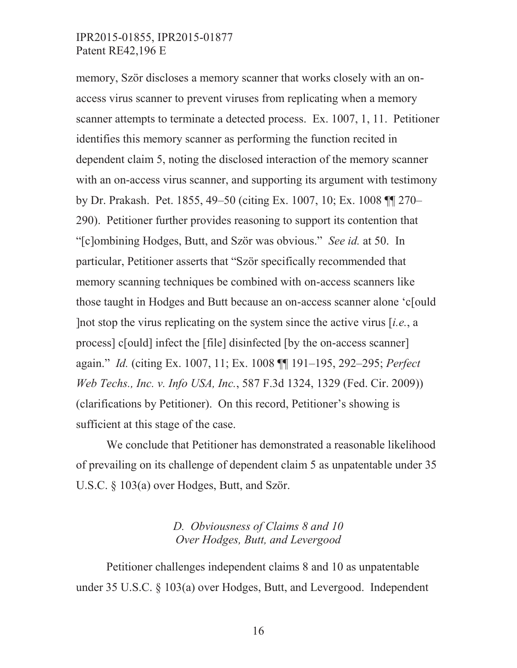memory, Ször discloses a memory scanner that works closely with an onaccess virus scanner to prevent viruses from replicating when a memory scanner attempts to terminate a detected process. Ex. 1007, 1, 11. Petitioner identifies this memory scanner as performing the function recited in dependent claim 5, noting the disclosed interaction of the memory scanner with an on-access virus scanner, and supporting its argument with testimony by Dr. Prakash. Pet. 1855, 49–50 (citing Ex. 1007, 10; Ex. 1008 ¶¶ 270– 290). Petitioner further provides reasoning to support its contention that "[c]ombining Hodges, Butt, and Ször was obvious." *See id.* at 50. In particular, Petitioner asserts that "Ször specifically recommended that memory scanning techniques be combined with on-access scanners like those taught in Hodges and Butt because an on-access scanner alone 'c[ould ]not stop the virus replicating on the system since the active virus [*i.e.*, a process] c[ould] infect the [file] disinfected [by the on-access scanner] again." *Id.* (citing Ex. 1007, 11; Ex. 1008 ¶¶ 191–195, 292–295; *Perfect Web Techs., Inc. v. Info USA, Inc.*, 587 F.3d 1324, 1329 (Fed. Cir. 2009)) (clarifications by Petitioner). On this record, Petitioner's showing is sufficient at this stage of the case.

We conclude that Petitioner has demonstrated a reasonable likelihood of prevailing on its challenge of dependent claim 5 as unpatentable under 35 U.S.C. § 103(a) over Hodges, Butt, and Ször.

#### *D. Obviousness of Claims 8 and 10 Over Hodges, Butt, and Levergood*

Petitioner challenges independent claims 8 and 10 as unpatentable under 35 U.S.C. § 103(a) over Hodges, Butt, and Levergood. Independent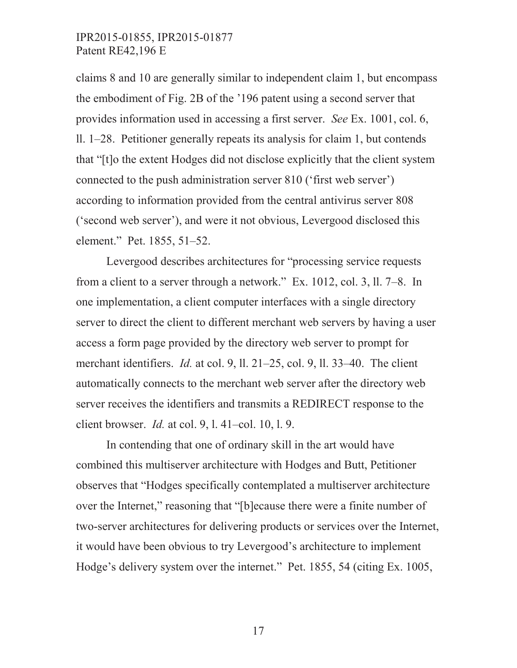claims 8 and 10 are generally similar to independent claim 1, but encompass the embodiment of Fig. 2B of the '196 patent using a second server that provides information used in accessing a first server. *See* Ex. 1001, col. 6, ll. 1–28. Petitioner generally repeats its analysis for claim 1, but contends that "[t]o the extent Hodges did not disclose explicitly that the client system connected to the push administration server 810 ('first web server') according to information provided from the central antivirus server 808 ('second web server'), and were it not obvious, Levergood disclosed this element." Pet. 1855, 51–52.

Levergood describes architectures for "processing service requests from a client to a server through a network." Ex. 1012, col. 3, ll. 7–8. In one implementation, a client computer interfaces with a single directory server to direct the client to different merchant web servers by having a user access a form page provided by the directory web server to prompt for merchant identifiers. *Id.* at col. 9, ll. 21–25, col. 9, ll. 33–40. The client automatically connects to the merchant web server after the directory web server receives the identifiers and transmits a REDIRECT response to the client browser. *Id.* at col. 9, l. 41–col. 10, l. 9.

In contending that one of ordinary skill in the art would have combined this multiserver architecture with Hodges and Butt, Petitioner observes that "Hodges specifically contemplated a multiserver architecture over the Internet," reasoning that "[b]ecause there were a finite number of two-server architectures for delivering products or services over the Internet, it would have been obvious to try Levergood's architecture to implement Hodge's delivery system over the internet." Pet. 1855, 54 (citing Ex. 1005,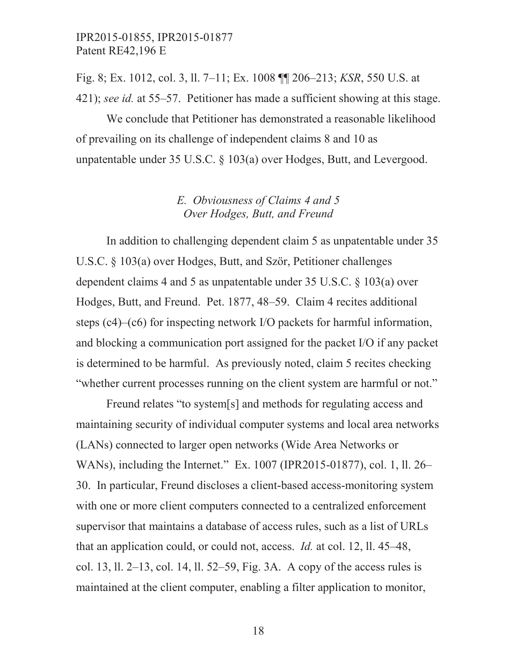Fig. 8; Ex. 1012, col. 3, ll. 7–11; Ex. 1008 ¶¶ 206–213; *KSR*, 550 U.S. at 421); *see id.* at 55–57. Petitioner has made a sufficient showing at this stage.

We conclude that Petitioner has demonstrated a reasonable likelihood of prevailing on its challenge of independent claims 8 and 10 as unpatentable under 35 U.S.C. § 103(a) over Hodges, Butt, and Levergood.

# *E. Obviousness of Claims 4 and 5 Over Hodges, Butt, and Freund*

In addition to challenging dependent claim 5 as unpatentable under 35 U.S.C. § 103(a) over Hodges, Butt, and Ször, Petitioner challenges dependent claims 4 and 5 as unpatentable under 35 U.S.C. § 103(a) over Hodges, Butt, and Freund. Pet. 1877, 48–59. Claim 4 recites additional steps (c4)–(c6) for inspecting network I/O packets for harmful information, and blocking a communication port assigned for the packet I/O if any packet is determined to be harmful. As previously noted, claim 5 recites checking "whether current processes running on the client system are harmful or not."

Freund relates "to system[s] and methods for regulating access and maintaining security of individual computer systems and local area networks (LANs) connected to larger open networks (Wide Area Networks or WANs), including the Internet." Ex. 1007 (IPR2015-01877), col. 1, ll. 26– 30. In particular, Freund discloses a client-based access-monitoring system with one or more client computers connected to a centralized enforcement supervisor that maintains a database of access rules, such as a list of URLs that an application could, or could not, access. *Id.* at col. 12, ll. 45–48, col. 13, ll. 2–13, col. 14, ll. 52–59, Fig. 3A. A copy of the access rules is maintained at the client computer, enabling a filter application to monitor,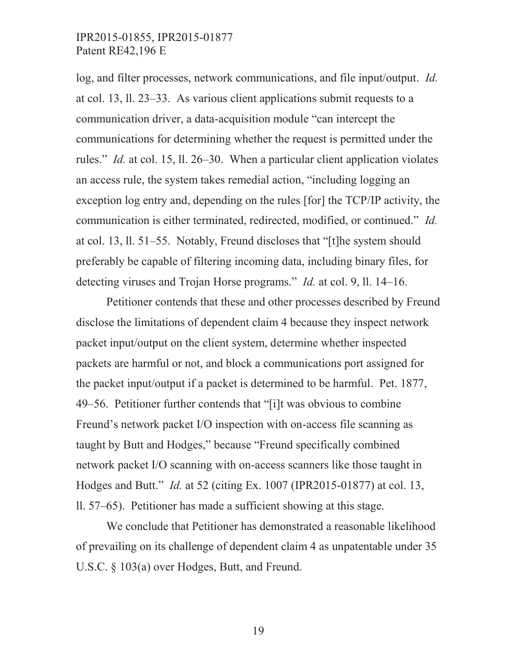log, and filter processes, network communications, and file input/output. *Id.* at col. 13, ll. 23–33. As various client applications submit requests to a communication driver, a data-acquisition module "can intercept the communications for determining whether the request is permitted under the rules." *Id.* at col. 15, ll. 26–30. When a particular client application violates an access rule, the system takes remedial action, "including logging an exception log entry and, depending on the rules [for] the TCP/IP activity, the communication is either terminated, redirected, modified, or continued." *Id.* at col. 13, ll. 51–55. Notably, Freund discloses that "[t]he system should preferably be capable of filtering incoming data, including binary files, for detecting viruses and Trojan Horse programs." *Id.* at col. 9, ll. 14–16.

Petitioner contends that these and other processes described by Freund disclose the limitations of dependent claim 4 because they inspect network packet input/output on the client system, determine whether inspected packets are harmful or not, and block a communications port assigned for the packet input/output if a packet is determined to be harmful. Pet. 1877, 49–56. Petitioner further contends that "[i]t was obvious to combine Freund's network packet I/O inspection with on-access file scanning as taught by Butt and Hodges," because "Freund specifically combined network packet I/O scanning with on-access scanners like those taught in Hodges and Butt." *Id.* at 52 (citing Ex. 1007 (IPR2015-01877) at col. 13, ll. 57–65). Petitioner has made a sufficient showing at this stage.

We conclude that Petitioner has demonstrated a reasonable likelihood of prevailing on its challenge of dependent claim 4 as unpatentable under 35 U.S.C. § 103(a) over Hodges, Butt, and Freund.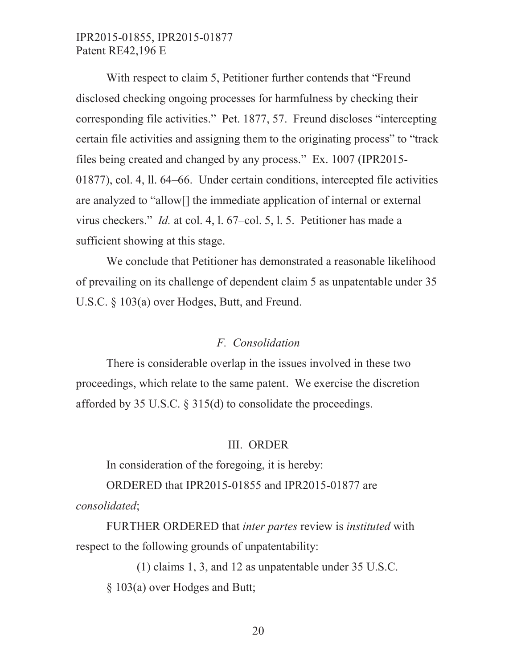With respect to claim 5, Petitioner further contends that "Freund disclosed checking ongoing processes for harmfulness by checking their corresponding file activities." Pet. 1877, 57. Freund discloses "intercepting certain file activities and assigning them to the originating process" to "track files being created and changed by any process." Ex. 1007 (IPR2015- 01877), col. 4, ll. 64–66. Under certain conditions, intercepted file activities are analyzed to "allow[] the immediate application of internal or external virus checkers." *Id.* at col. 4, l. 67–col. 5, l. 5. Petitioner has made a sufficient showing at this stage.

We conclude that Petitioner has demonstrated a reasonable likelihood of prevailing on its challenge of dependent claim 5 as unpatentable under 35 U.S.C. § 103(a) over Hodges, Butt, and Freund.

#### *F. Consolidation*

There is considerable overlap in the issues involved in these two proceedings, which relate to the same patent. We exercise the discretion afforded by 35 U.S.C. § 315(d) to consolidate the proceedings.

#### III. ORDER

In consideration of the foregoing, it is hereby:

ORDERED that IPR2015-01855 and IPR2015-01877 are

*consolidated*;

FURTHER ORDERED that *inter partes* review is *instituted* with respect to the following grounds of unpatentability:

(1) claims 1, 3, and 12 as unpatentable under 35 U.S.C. § 103(a) over Hodges and Butt;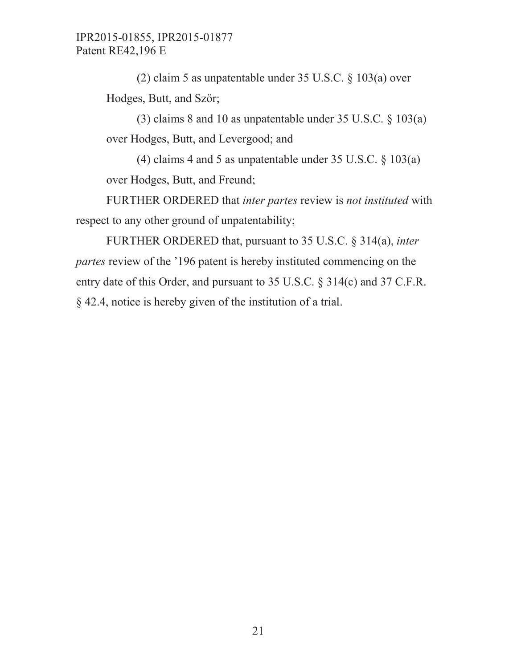(2) claim 5 as unpatentable under 35 U.S.C. § 103(a) over Hodges, Butt, and Ször;

(3) claims 8 and 10 as unpatentable under 35 U.S.C. § 103(a) over Hodges, Butt, and Levergood; and

(4) claims 4 and 5 as unpatentable under 35 U.S.C. § 103(a) over Hodges, Butt, and Freund;

FURTHER ORDERED that *inter partes* review is *not instituted* with respect to any other ground of unpatentability;

FURTHER ORDERED that, pursuant to 35 U.S.C. § 314(a), *inter partes* review of the '196 patent is hereby instituted commencing on the entry date of this Order, and pursuant to 35 U.S.C. § 314(c) and 37 C.F.R. § 42.4, notice is hereby given of the institution of a trial.